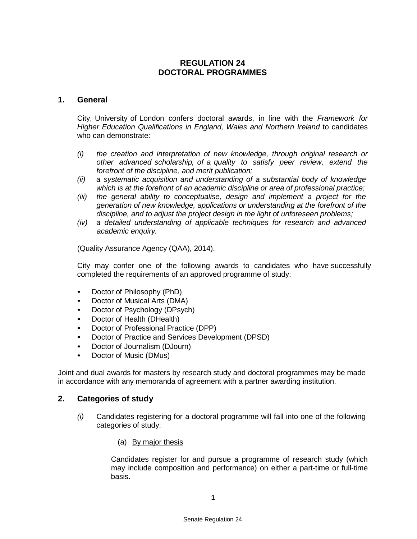# **REGULATION 24 DOCTORAL PROGRAMMES**

#### **1. General**

City, University of London confers doctoral awards, in line with the *Framework for Higher Education Qualifications in England, Wales and Northern Ireland* to candidates who can demonstrate:

- *(i) the creation and interpretation of new knowledge, through original research or other advanced scholarship, of a quality to satisfy peer review, extend the forefront of the discipline, and merit publication;*
- *(ii) a systematic acquisition and understanding of a substantial body of knowledge which is at the forefront of an academic discipline or area of professional practice;*
- *(iii) the general ability to conceptualise, design and implement a project for the generation of new knowledge, applications or understanding at the forefront of the discipline, and to adjust the project design in the light of unforeseen problems;*
- *(iv) a detailed understanding of applicable techniques for research and advanced academic enquiry.*

(Quality Assurance Agency (QAA), 2014).

City may confer one of the following awards to candidates who have successfully completed the requirements of an approved programme of study:

- Doctor of Philosophy (PhD)
- Doctor of Musical Arts (DMA)
- Doctor of Psychology (DPsych)
- Doctor of Health (DHealth)
- Doctor of Professional Practice (DPP)
- Doctor of Practice and Services Development (DPSD)
- Doctor of Journalism (DJourn)<br>• Doctor of Music (DMus)
- Doctor of Music (DMus)

Joint and dual awards for masters by research study and doctoral programmes may be made in accordance with any memoranda of agreement with a partner awarding institution.

#### **2. Categories of study**

- *(i)* Candidates registering for a doctoral programme will fall into one of the following categories of study:
	- (a) By major thesis

Candidates register for and pursue a programme of research study (which may include composition and performance) on either a part-time or full-time basis.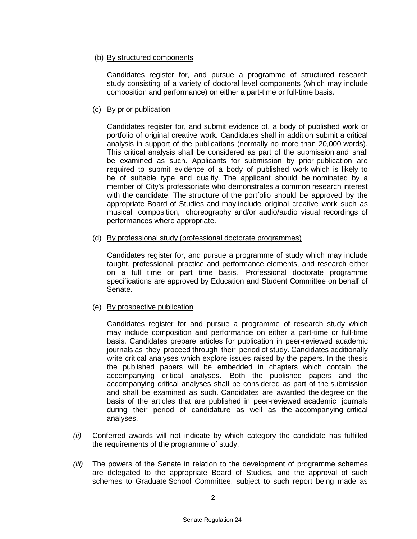#### (b) By structured components

Candidates register for, and pursue a programme of structured research study consisting of a variety of doctoral level components (which may include composition and performance) on either a part-time or full-time basis.

#### (c) By prior publication

Candidates register for, and submit evidence of, a body of published work or portfolio of original creative work. Candidates shall in addition submit a critical analysis in support of the publications (normally no more than 20,000 words). This critical analysis shall be considered as part of the submission and shall be examined as such. Applicants for submission by prior publication are required to submit evidence of a body of published work which is likely to be of suitable type and quality. The applicant should be nominated by a member of City's professoriate who demonstrates a common research interest with the candidate. The structure of the portfolio should be approved by the appropriate Board of Studies and may include original creative work such as musical composition, choreography and/or audio/audio visual recordings of performances where appropriate.

#### (d) By professional study (professional doctorate programmes)

Candidates register for, and pursue a programme of study which may include taught, professional, practice and performance elements, and research either on a full time or part time basis. Professional doctorate programme specifications are approved by Education and Student Committee on behalf of Senate.

### (e) By prospective publication

Candidates register for and pursue a programme of research study which may include composition and performance on either a part-time or full-time basis. Candidates prepare articles for publication in peer-reviewed academic journals as they proceed through their period of study. Candidates additionally write critical analyses which explore issues raised by the papers. In the thesis the published papers will be embedded in chapters which contain the accompanying critical analyses. Both the published papers and the accompanying critical analyses shall be considered as part of the submission and shall be examined as such. Candidates are awarded the degree on the basis of the articles that are published in peer-reviewed academic journals during their period of candidature as well as the accompanying critical analyses.

- *(ii)* Conferred awards will not indicate by which category the candidate has fulfilled the requirements of the programme of study.
- *(iii)* The powers of the Senate in relation to the development of programme schemes are delegated to the appropriate Board of Studies, and the approval of such schemes to Graduate School Committee, subject to such report being made as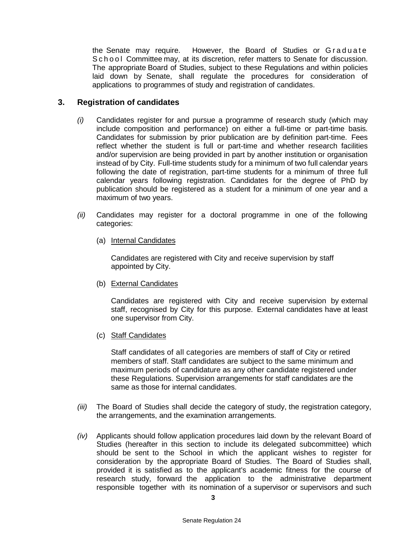the Senate may require. However, the Board of Studies or Graduate School Committee may, at its discretion, refer matters to Senate for discussion. The appropriate Board of Studies, subject to these Regulations and within policies laid down by Senate, shall regulate the procedures for consideration of applications to programmes of study and registration of candidates.

#### **3. Registration of candidates**

- *(i)* Candidates register for and pursue a programme of research study (which may include composition and performance) on either a full-time or part-time basis. Candidates for submission by prior publication are by definition part-time. Fees reflect whether the student is full or part-time and whether research facilities and/or supervision are being provided in part by another institution or organisation instead of by City. Full-time students study for a minimum of two full calendar years following the date of registration, part-time students for a minimum of three full calendar years following registration. Candidates for the degree of PhD by publication should be registered as a student for a minimum of one year and a maximum of two years.
- *(ii)* Candidates may register for a doctoral programme in one of the following categories:
	- (a) Internal Candidates

Candidates are registered with City and receive supervision by staff appointed by City.

(b) External Candidates

Candidates are registered with City and receive supervision by external staff, recognised by City for this purpose. External candidates have at least one supervisor from City.

(c) Staff Candidates

Staff candidates of all categories are members of staff of City or retired members of staff. Staff candidates are subject to the same minimum and maximum periods of candidature as any other candidate registered under these Regulations. Supervision arrangements for staff candidates are the same as those for internal candidates.

- *(iii)* The Board of Studies shall decide the category of study, the registration category, the arrangements, and the examination arrangements.
- *(iv)* Applicants should follow application procedures laid down by the relevant Board of Studies (hereafter in this section to include its delegated subcommittee) which should be sent to the School in which the applicant wishes to register for consideration by the appropriate Board of Studies. The Board of Studies shall, provided it is satisfied as to the applicant's academic fitness for the course of research study, forward the application to the administrative department responsible together with its nomination of a supervisor or supervisors and such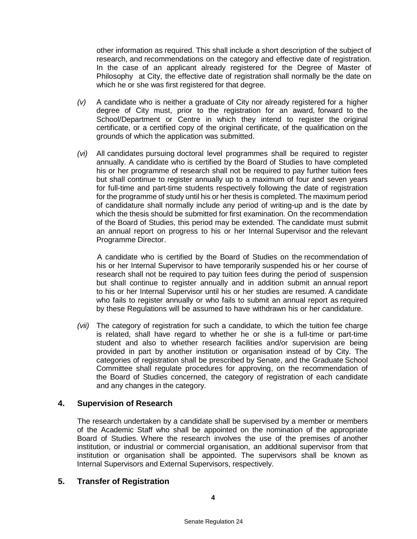other information as required. This shall include a short description of the subject of research, and recommendations on the category and effective date of registration. In the case of an applicant already registered for the Degree of Master of Philosophy at City, the effective date of registration shall normally be the date on which he or she was first registered for that degree.

- *(v)* A candidate who is neither a graduate of City nor already registered for a higher degree of City must, prior to the registration for an award, forward to the School/Department or Centre in which they intend to register the original certificate, or a certified copy of the original certificate, of the qualification on the grounds of which the application was submitted.
- *(vi)* All candidates pursuing doctoral level programmes shall be required to register annually. A candidate who is certified by the Board of Studies to have completed his or her programme of research shall not be required to pay further tuition fees but shall continue to register annually up to a maximum of four and seven years for full-time and part-time students respectively following the date of registration for the programme of study until his or her thesis is completed. The maximum period of candidature shall normally include any period of writing-up and is the date by which the thesis should be submitted for first examination. On the recommendation of the Board of Studies, this period may be extended. The candidate must submit an annual report on progress to his or her Internal Supervisor and the relevant Programme Director.

A candidate who is certified by the Board of Studies on the recommendation of his or her Internal Supervisor to have temporarily suspended his or her course of research shall not be required to pay tuition fees during the period of suspension but shall continue to register annually and in addition submit an annual report to his or her Internal Supervisor until his or her studies are resumed. A candidate who fails to register annually or who fails to submit an annual report as required by these Regulations will be assumed to have withdrawn his or her candidature.

*(vii)* The category of registration for such a candidate, to which the tuition fee charge is related, shall have regard to whether he or she is a full-time or part-time student and also to whether research facilities and/or supervision are being provided in part by another institution or organisation instead of by City. The categories of registration shall be prescribed by Senate, and the Graduate School Committee shall regulate procedures for approving, on the recommendation of the Board of Studies concerned, the category of registration of each candidate and any changes in the category.

### **4. Supervision of Research**

The research undertaken by a candidate shall be supervised by a member or members of the Academic Staff who shall be appointed on the nomination of the appropriate Board of Studies. Where the research involves the use of the premises of another institution, or industrial or commercial organisation, an additional supervisor from that institution or organisation shall be appointed. The supervisors shall be known as Internal Supervisors and External Supervisors, respectively.

### **5. Transfer of Registration**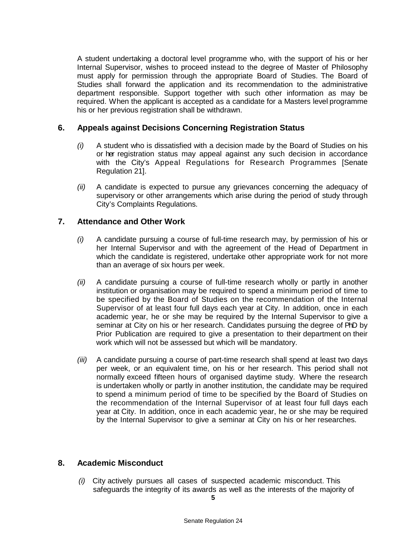A student undertaking a doctoral level programme who, with the support of his or her Internal Supervisor, wishes to proceed instead to the degree of Master of Philosophy must apply for permission through the appropriate Board of Studies. The Board of Studies shall forward the application and its recommendation to the administrative department responsible. Support together with such other information as may be required. When the applicant is accepted as a candidate for a Masters level programme his or her previous registration shall be withdrawn.

# **6. Appeals against Decisions Concerning Registration Status**

- *(i)* A student who is dissatisfied with a decision made by the Board of Studies on his or her registration status may appeal against any such decision in accordance with the City's Appeal Regulations for Research Programmes [Senate Regulation 21].
- *(ii)* A candidate is expected to pursue any grievances concerning the adequacy of supervisory or other arrangements which arise during the period of study through City's Complaints Regulations.

# **7. Attendance and Other Work**

- *(i)* A candidate pursuing a course of full-time research may, by permission of his or her Internal Supervisor and with the agreement of the Head of Department in which the candidate is registered, undertake other appropriate work for not more than an average of six hours per week.
- *(ii)* A candidate pursuing a course of full-time research wholly or partly in another institution or organisation may be required to spend a minimum period of time to be specified by the Board of Studies on the recommendation of the Internal Supervisor of at least four full days each year at City. In addition, once in each academic year, he or she may be required by the Internal Supervisor to give a seminar at City on his or her research. Candidates pursuing the degree of PhD by Prior Publication are required to give a presentation to their department on their work which will not be assessed but which will be mandatory.
- *(iii)* A candidate pursuing a course of part-time research shall spend at least two days per week, or an equivalent time, on his or her research. This period shall not normally exceed fifteen hours of organised daytime study. Where the research is undertaken wholly or partly in another institution, the candidate may be required to spend a minimum period of time to be specified by the Board of Studies on the recommendation of the Internal Supervisor of at least four full days each year at City. In addition, once in each academic year, he or she may be required by the Internal Supervisor to give a seminar at City on his or her researches.

## **8. Academic Misconduct**

*(i)* City actively pursues all cases of suspected academic misconduct. This safeguards the integrity of its awards as well as the interests of the majority of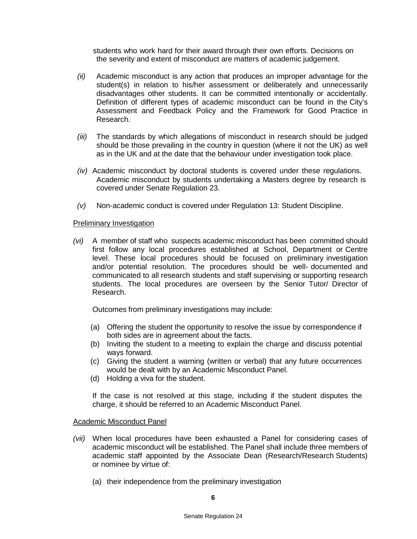students who work hard for their award through their own efforts. Decisions on the severity and extent of misconduct are matters of academic judgement.

- *(ii)* Academic misconduct is any action that produces an improper advantage for the student(s) in relation to his/her assessment or deliberately and unnecessarily disadvantages other students. It can be committed intentionally or accidentally. Definition of different types of academic misconduct can be found in the City's Assessment and Feedback Policy and the Framework for Good Practice in Research.
- *(iii)* The standards by which allegations of misconduct in research should be judged should be those prevailing in the country in question (where it not the UK) as well as in the UK and at the date that the behaviour under investigation took place.
- *(iv)* Academic misconduct by doctoral students is covered under these regulations. Academic misconduct by students undertaking a Masters degree by research is covered under Senate Regulation 23.
- *(v)* Non-academic conduct is covered under Regulation 13: Student Discipline.

#### Preliminary Investigation

*(vi)* A member of staff who suspects academic misconduct has been committed should first follow any local procedures established at School, Department or Centre level. These local procedures should be focused on preliminary investigation and/or potential resolution. The procedures should be well- documented and communicated to all research students and staff supervising or supporting research students. The local procedures are overseen by the Senior Tutor/ Director of Research.

Outcomes from preliminary investigations may include:

- (a) Offering the student the opportunity to resolve the issue by correspondence if both sides are in agreement about the facts.
- (b) Inviting the student to a meeting to explain the charge and discuss potential ways forward.
- (c) Giving the student a warning (written or verbal) that any future occurrences would be dealt with by an Academic Misconduct Panel.
- (d) Holding a viva for the student.

If the case is not resolved at this stage, including if the student disputes the charge, it should be referred to an Academic Misconduct Panel.

#### Academic Misconduct Panel

- *(vii)* When local procedures have been exhausted a Panel for considering cases of academic misconduct will be established. The Panel shall include three members of academic staff appointed by the Associate Dean (Research/Research Students) or nominee by virtue of:
	- (a) their independence from the preliminary investigation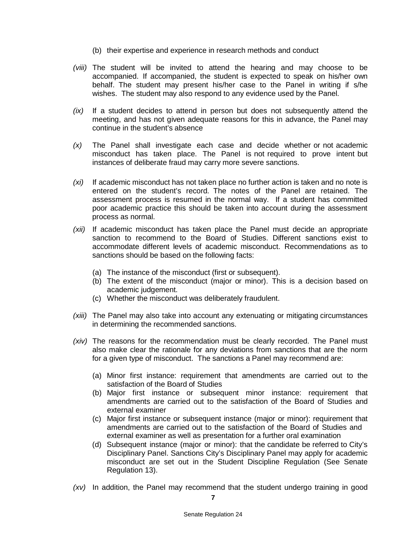- (b) their expertise and experience in research methods and conduct
- *(viii)* The student will be invited to attend the hearing and may choose to be accompanied. If accompanied, the student is expected to speak on his/her own behalf. The student may present his/her case to the Panel in writing if s/he wishes. The student may also respond to any evidence used by the Panel.
- *(ix)* If a student decides to attend in person but does not subsequently attend the meeting, and has not given adequate reasons for this in advance, the Panel may continue in the student's absence
- *(x)* The Panel shall investigate each case and decide whether or not academic misconduct has taken place. The Panel is not required to prove intent but instances of deliberate fraud may carry more severe sanctions.
- *(xi)* If academic misconduct has not taken place no further action is taken and no note is entered on the student's record. The notes of the Panel are retained. The assessment process is resumed in the normal way. If a student has committed poor academic practice this should be taken into account during the assessment process as normal.
- *(xii)* If academic misconduct has taken place the Panel must decide an appropriate sanction to recommend to the Board of Studies. Different sanctions exist to accommodate different levels of academic misconduct. Recommendations as to sanctions should be based on the following facts:
	- (a) The instance of the misconduct (first or subsequent).
	- (b) The extent of the misconduct (major or minor). This is a decision based on academic judgement.
	- (c) Whether the misconduct was deliberately fraudulent.
- *(xiii)* The Panel may also take into account any extenuating or mitigating circumstances in determining the recommended sanctions.
- *(xiv)* The reasons for the recommendation must be clearly recorded. The Panel must also make clear the rationale for any deviations from sanctions that are the norm for a given type of misconduct. The sanctions a Panel may recommend are:
	- (a) Minor first instance: requirement that amendments are carried out to the satisfaction of the Board of Studies
	- (b) Major first instance or subsequent minor instance: requirement that amendments are carried out to the satisfaction of the Board of Studies and external examiner
	- (c) Major first instance or subsequent instance (major or minor): requirement that amendments are carried out to the satisfaction of the Board of Studies and external examiner as well as presentation for a further oral examination
	- (d) Subsequent instance (major or minor): that the candidate be referred to City's Disciplinary Panel. Sanctions City's Disciplinary Panel may apply for academic misconduct are set out in the Student Discipline Regulation (See Senate Regulation 13).
- *(xv)* In addition, the Panel may recommend that the student undergo training in good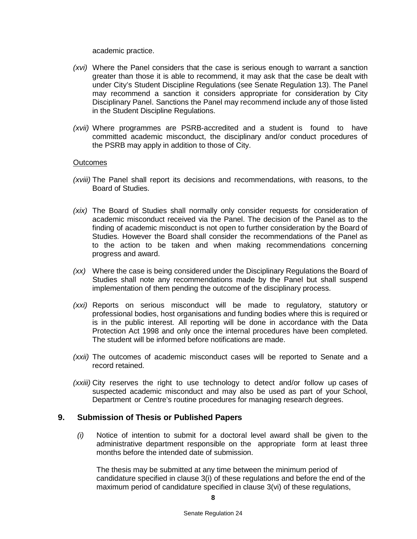academic practice.

- *(xvi)* Where the Panel considers that the case is serious enough to warrant a sanction greater than those it is able to recommend, it may ask that the case be dealt with under City's Student Discipline Regulations (see Senate Regulation 13). The Panel may recommend a sanction it considers appropriate for consideration by City Disciplinary Panel. Sanctions the Panel may recommend include any of those listed in the Student Discipline Regulations.
- *(xvii)* Where programmes are PSRB-accredited and a student is found to have committed academic misconduct, the disciplinary and/or conduct procedures of the PSRB may apply in addition to those of City.

#### **Outcomes**

- *(xviii)* The Panel shall report its decisions and recommendations, with reasons, to the Board of Studies.
- *(xix)* The Board of Studies shall normally only consider requests for consideration of academic misconduct received via the Panel. The decision of the Panel as to the finding of academic misconduct is not open to further consideration by the Board of Studies. However the Board shall consider the recommendations of the Panel as to the action to be taken and when making recommendations concerning progress and award.
- *(xx)* Where the case is being considered under the Disciplinary Regulations the Board of Studies shall note any recommendations made by the Panel but shall suspend implementation of them pending the outcome of the disciplinary process.
- *(xxi)* Reports on serious misconduct will be made to regulatory, statutory or professional bodies, host organisations and funding bodies where this is required or is in the public interest. All reporting will be done in accordance with the Data Protection Act 1998 and only once the internal procedures have been completed. The student will be informed before notifications are made.
- *(xxii)* The outcomes of academic misconduct cases will be reported to Senate and a record retained.
- *(xxiii)* City reserves the right to use technology to detect and/or follow up cases of suspected academic misconduct and may also be used as part of your School, Department or Centre's routine procedures for managing research degrees.

#### **9. Submission of Thesis or Published Papers**

*(i)* Notice of intention to submit for a doctoral level award shall be given to the administrative department responsible on the appropriate form at least three months before the intended date of submission.

The thesis may be submitted at any time between the minimum period of candidature specified in clause 3(i) of these regulations and before the end of the maximum period of candidature specified in clause 3(vi) of these regulations,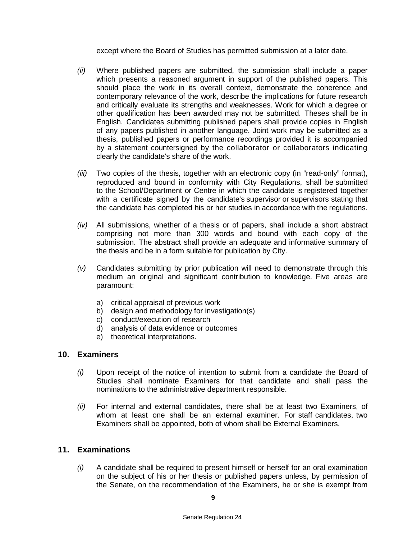except where the Board of Studies has permitted submission at a later date.

- *(ii)* Where published papers are submitted, the submission shall include a paper which presents a reasoned argument in support of the published papers. This should place the work in its overall context, demonstrate the coherence and contemporary relevance of the work, describe the implications for future research and critically evaluate its strengths and weaknesses. Work for which a degree or other qualification has been awarded may not be submitted. Theses shall be in English. Candidates submitting published papers shall provide copies in English of any papers published in another language. Joint work may be submitted as a thesis, published papers or performance recordings provided it is accompanied by a statement countersigned by the collaborator or collaborators indicating clearly the candidate's share of the work.
- *(iii)* Two copies of the thesis, together with an electronic copy (in "read-only" format), reproduced and bound in conformity with City Regulations, shall be submitted to the School/Department or Centre in which the candidate is registered together with a certificate signed by the candidate's supervisor or supervisors stating that the candidate has completed his or her studies in accordance with the regulations.
- *(iv)* All submissions, whether of a thesis or of papers, shall include a short abstract comprising not more than 300 words and bound with each copy of the submission. The abstract shall provide an adequate and informative summary of the thesis and be in a form suitable for publication by City.
- *(v)* Candidates submitting by prior publication will need to demonstrate through this medium an original and significant contribution to knowledge. Five areas are paramount:
	- a) critical appraisal of previous work
	- b) design and methodology for investigation(s)
	- c) conduct/execution of research
	- d) analysis of data evidence or outcomes
	- e) theoretical interpretations.

### **10. Examiners**

- *(i)* Upon receipt of the notice of intention to submit from a candidate the Board of Studies shall nominate Examiners for that candidate and shall pass the nominations to the administrative department responsible.
- *(ii)* For internal and external candidates, there shall be at least two Examiners, of whom at least one shall be an external examiner. For staff candidates, two Examiners shall be appointed, both of whom shall be External Examiners.

# **11. Examinations**

*(i)* A candidate shall be required to present himself or herself for an oral examination on the subject of his or her thesis or published papers unless, by permission of the Senate, on the recommendation of the Examiners, he or she is exempt from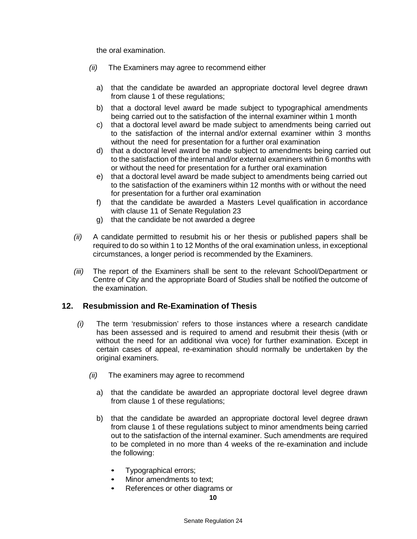the oral examination.

- *(ii)* The Examiners may agree to recommend either
	- a) that the candidate be awarded an appropriate doctoral level degree drawn from clause 1 of these regulations;
	- b) that a doctoral level award be made subject to typographical amendments being carried out to the satisfaction of the internal examiner within 1 month
	- c) that a doctoral level award be made subject to amendments being carried out to the satisfaction of the internal and/or external examiner within 3 months without the need for presentation for a further oral examination
	- d) that a doctoral level award be made subject to amendments being carried out to the satisfaction of the internal and/or external examiners within 6 months with or without the need for presentation for a further oral examination
	- e) that a doctoral level award be made subject to amendments being carried out to the satisfaction of the examiners within 12 months with or without the need for presentation for a further oral examination
	- f) that the candidate be awarded a Masters Level qualification in accordance with clause 11 of Senate Regulation 23
	- g) that the candidate be not awarded a degree
- *(ii)* A candidate permitted to resubmit his or her thesis or published papers shall be required to do so within 1 to 12 Months of the oral examination unless, in exceptional circumstances, a longer period is recommended by the Examiners.
- *(iii)* The report of the Examiners shall be sent to the relevant School/Department or Centre of City and the appropriate Board of Studies shall be notified the outcome of the examination.

### **12. Resubmission and Re-Examination of Thesis**

- *(i)* The term 'resubmission' refers to those instances where a research candidate has been assessed and is required to amend and resubmit their thesis (with or without the need for an additional viva voce) for further examination. Except in certain cases of appeal, re-examination should normally be undertaken by the original examiners.
	- *(ii)* The examiners may agree to recommend
		- a) that the candidate be awarded an appropriate doctoral level degree drawn from clause 1 of these regulations;
		- b) that the candidate be awarded an appropriate doctoral level degree drawn from clause 1 of these regulations subject to minor amendments being carried out to the satisfaction of the internal examiner. Such amendments are required to be completed in no more than 4 weeks of the re-examination and include the following:
			- Typographical errors;
			- Minor amendments to text;
			- References or other diagrams or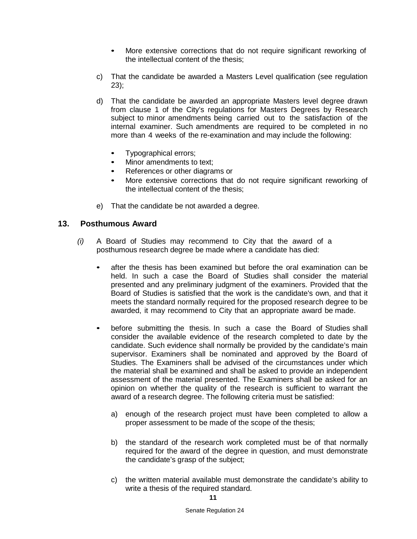- More extensive corrections that do not require significant reworking of the intellectual content of the thesis;
- c) That the candidate be awarded a Masters Level qualification (see regulation 23);
- d) That the candidate be awarded an appropriate Masters level degree drawn from clause 1 of the City's regulations for Masters Degrees by Research subject to minor amendments being carried out to the satisfaction of the internal examiner. Such amendments are required to be completed in no more than 4 weeks of the re-examination and may include the following:
	- Typographical errors;
	- Minor amendments to text;
	- References or other diagrams or
	- More extensive corrections that do not require significant reworking of the intellectual content of the thesis;
- e) That the candidate be not awarded a degree.

# **13. Posthumous Award**

- *(i)* A Board of Studies may recommend to City that the award of a posthumous research degree be made where a candidate has died:
	- after the thesis has been examined but before the oral examination can be held. In such a case the Board of Studies shall consider the material presented and any preliminary judgment of the examiners. Provided that the Board of Studies is satisfied that the work is the candidate's own, and that it meets the standard normally required for the proposed research degree to be awarded, it may recommend to City that an appropriate award be made.
	- before submitting the thesis. In such a case the Board of Studies shall consider the available evidence of the research completed to date by the candidate. Such evidence shall normally be provided by the candidate's main supervisor. Examiners shall be nominated and approved by the Board of Studies. The Examiners shall be advised of the circumstances under which the material shall be examined and shall be asked to provide an independent assessment of the material presented. The Examiners shall be asked for an opinion on whether the quality of the research is sufficient to warrant the award of a research degree. The following criteria must be satisfied:
		- a) enough of the research project must have been completed to allow a proper assessment to be made of the scope of the thesis;
		- b) the standard of the research work completed must be of that normally required for the award of the degree in question, and must demonstrate the candidate's grasp of the subject;
		- c) the written material available must demonstrate the candidate's ability to write a thesis of the required standard.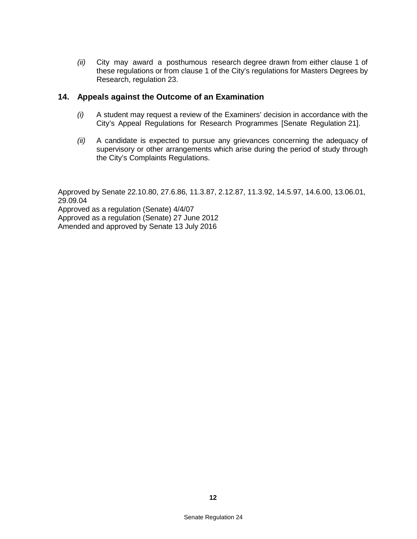*(ii)* City may award a posthumous research degree drawn from either clause 1 of these regulations or from clause 1 of the City's regulations for Masters Degrees by Research, regulation 23.

### **14. Appeals against the Outcome of an Examination**

- *(i)* A student may request a review of the Examiners' decision in accordance with the City's Appeal Regulations for Research Programmes [Senate Regulation 21].
- *(ii)* A candidate is expected to pursue any grievances concerning the adequacy of supervisory or other arrangements which arise during the period of study through the City's Complaints Regulations.

Approved by Senate 22.10.80, 27.6.86, 11.3.87, 2.12.87, 11.3.92, 14.5.97, 14.6.00, 13.06.01, 29.09.04 Approved as a regulation (Senate) 4/4/07 Approved as a regulation (Senate) 27 June 2012 Amended and approved by Senate 13 July 2016